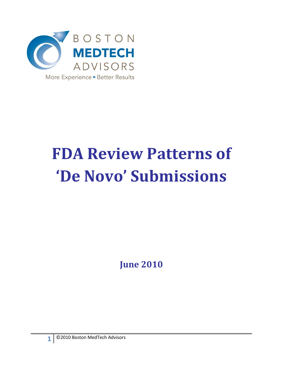

# **FDA Review Patterns of 'De Novo' Submissions**

**June 2010**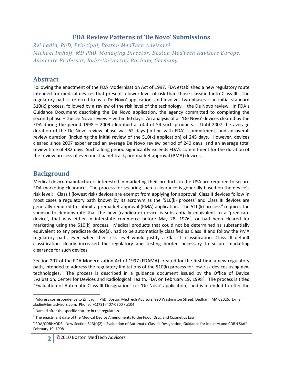#### **FDA Review Patterns of 'De Novo' Submissions**

*Zvi Ladin, PhD, Principal, Boston MedTech Advisors <sup>1</sup> Michael Imhoff, MD PhD, Managing Director, Boston MedTech Advisors Europe, Associate Professor, Ruhr-University Bochum, Germany*

#### **Abstract**

Following the enactment of the FDA Modernization Act of 1997, FDA established a new regulatory route intended for medical devices that present a lower level of risk than those classified into Class III. The regulatory path is referred to as a 'De Novo' application, and involves two phases – an initial standard 510(k) process, followed by a review of the risk level of the technology – the De Novo review. In FDA's Guidance Document describing the De Novo application, the agency committed to completing the second phase – the De Novo review – within 60 days. An analysis of all 'De Novo' devices cleared by the FDA during the period 1998 – 2009 identified a total of 54 such products. Until 2007 the average duration of the De Novo review phase was 62 days (in line with FDA's commitment) and an overall review duration (including the initial review of the 510(k) application) of 245 days. However, devices cleared since 2007 experienced an average De Novo review period of 240 days, and an average total review time of 482 days. Such a long period significantly exceeds FDA's commitment for the duration of the review process of even most panel-track, pre-market approval (PMA) devices.

### **Background**

Medical device manufacturers interested in marketing their products in the USA are required to secure FDA marketing clearance. The process for securing such a clearance is generally based on the device's risk level: Class I (lowest risk) devices are exempt from applying for approval, Class II devices follow in most cases a regulatory path known by its acronym as the '510(k) process' and Class III devices are generally required to submit a premarket approval (PMA) application. The 510(k) process<sup>2</sup> requires the sponsor to demonstrate that the new (candidate) device is substantially equivalent to a 'predicate device', that was either in interstate commerce before May 28, 1976<sup>3</sup>, or had been cleared for marketing using the 510(k) process. Medical products that could not be determined as substantially equivalent to any predicate device(s), had to be automatically classified as Class III and follow the PMA regulatory path, even when their risk level would justify a Class II classification. Class III default classification clearly increased the regulatory and testing burden necessary to secure marketing clearance for such devices.

Section 207 of the FDA Modernization Act of 1997 (FDAMA) created for the first time a new regulatory path, intended to address the regulatory limitations of the 510(k) process for low-risk devices using new technologies. The process is described in a guidance document issued by the Office of Device Evaluation, Center for Devices and Radiological Health, FDA on February 19, 1998<sup>4</sup>. The process is titled "Evaluation of Automatic Class III Designation" (or 'De Novo' application), and is intended to offer the

 $\overline{\phantom{a}}$ <sup>1</sup> Address correspondence to Zvi Ladin, PhD, Boston MedTech Advisors, 990 Washington Street, Dedham, MA 02026. E-mail: zladin@bmtadvisors.com. Phone: +1(781) 407-0900 / x104

 $2$  Named after the specific statute in the regulation.

 $3$  The enactment date of the Medical Device Amendments to the Food, Drug and Cosmetics Law

<sup>&</sup>lt;sup>4</sup> FDA/CDRH/ODE. New Section 513(f)(2) – Evaluation of Automatic Class III Designation, Guidance for Industry and CDRH Staff. February 19, 1998.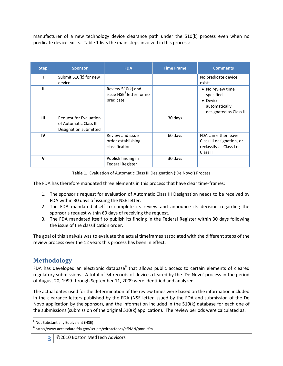manufacturer of a new technology device clearance path under the 510(k) process even when no predicate device exists. Table 1 lists the main steps involved in this process:

| <b>Step</b> | <b>Sponsor</b>         | <b>FDA</b>                           | <b>Time Frame</b> | <b>Comments</b>           |
|-------------|------------------------|--------------------------------------|-------------------|---------------------------|
|             | Submit 510(k) for new  |                                      |                   | No predicate device       |
|             | device                 |                                      |                   | exists                    |
| Ш           |                        | Review 510(k) and                    |                   | • No review time          |
|             |                        | issue NSE <sup>5</sup> letter for no |                   | specified                 |
|             |                        | predicate                            |                   | • Device is               |
|             |                        |                                      |                   | automatically             |
|             |                        |                                      |                   | designated as Class III   |
| Ш           | Request for Evaluation |                                      | 30 days           |                           |
|             | of Automatic Class III |                                      |                   |                           |
|             | Designation submitted  |                                      |                   |                           |
| IV          |                        | Review and issue                     | 60 days           | FDA can either leave      |
|             |                        | order establishing                   |                   | Class III designation, or |
|             |                        | classification                       |                   | reclassify as Class I or  |
|             |                        |                                      |                   | Class II                  |
| $\mathbf v$ |                        | Publish finding in                   | 30 days           |                           |
|             |                        | <b>Federal Register</b>              |                   |                           |

**Table 1.** Evaluation of Automatic Class III Designation ('De Novo') Process

The FDA has therefore mandated three elements in this process that have clear time-frames:

- 1. The sponsor's request for evaluation of Automatic Class III Designation needs to be received by FDA within 30 days of issuing the NSE letter.
- 2. The FDA mandated itself to complete its review and announce its decision regarding the sponsor's request within 60 days of receiving the request.
- 3. The FDA mandated itself to publish its finding in the Federal Register within 30 days following the issue of the classification order.

The goal of this analysis was to evaluate the actual timeframes associated with the different steps of the review process over the 12 years this process has been in effect.

# **Methodology**

FDA has developed an electronic database<sup>6</sup> that allows public access to certain elements of cleared regulatory submissions. A total of 54 records of devices cleared by the 'De Novo' process in the period of August 20, 1999 through September 11, 2009 were identified and analyzed.

The actual dates used for the determination of the review times were based on the information included in the clearance letters published by the FDA (NSE letter issued by the FDA and submission of the De Novo application by the sponsor), and the information included in the 510(k) database for each one of the submissions (submission of the original 510(k) application). The review periods were calculated as:

 $\overline{\phantom{a}}$ <sup>5</sup> Not Substantially Equivalent (NSE)

<sup>&</sup>lt;sup>6</sup> http://www.accessdata.fda.gov/scripts/cdrh/cfdocs/cfPMN/pmn.cfm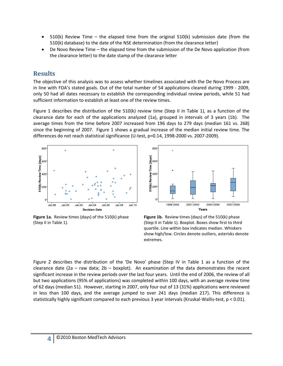- 510(k) Review Time the elapsed time from the original 510(k) submission date (from the 510(k) database) to the date of the NSE determination (from the clearance letter)
- De Novo Review Time the elapsed time from the submission of the De Novo application (from the clearance letter) to the date stamp of the clearance letter

#### **Results**

The objective of this analysis was to assess whether timelines associated with the De Novo Process are in line with FDA's stated goals. Out of the total number of 54 applications cleared during 1999 - 2009, only 50 had all dates necessary to establish the corresponding individual review periods, while 51 had sufficient information to establish at least one of the review times.

Figure 1 describes the distribution of the 510(k) review time (Step II in Table 1), as a function of the clearance date for each of the applications analyzed (1a), grouped in intervals of 3 years (1b). The average times from the time before 2007 increased from 196 days to 279 days (median 161 vs. 268) since the beginning of 2007. Figure 1 shows a gradual increase of the median initial review time. The differences do not reach statistical significance (U-test, p=0.14, 1998-2000 vs. 2007-2009).



**Figure 1a.** Review times (days) of the 510(k) phase (Step II in Table 1).



**Figure 1b.** Review times (days) of the 510(k) phase (Step II in Table 1). Boxplot. Boxes show first to third quartile. Line within box indicates median. Whiskers show high/low. Circles denote outliers, asterisks denote extremes.

Figure 2 describes the distribution of the 'De Novo' phase (Step IV in Table 1 as a function of the clearance date (2a – raw data; 2b – boxplot). An examination of the data demonstrates the recent significant increase in the review periods over the last four years. Until the end of 2006, the review of all but two applications (95% of applications) was completed within 100 days, with an average review time of 62 days (median 51). However, starting in 2007, only four out of 13 (31%) applications were reviewed in less than 100 days, and the average jumped to over 241 days (median 217). This difference is statistically highly significant compared to each previous 3 year intervals (Kruskal-Wallis-test, p < 0.01).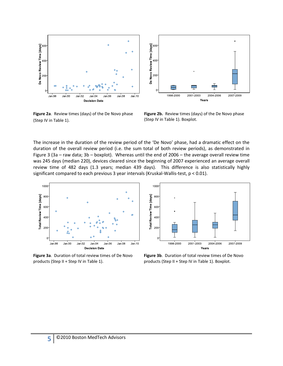

**Figure 2a**. Review times (days) of the De Novo phase (Step IV in Table 1).



2001-2003

Years

2004-2006

2007-2009

٦ 1998-2000

The increase in the duration of the review period of the 'De Novo' phase, had a dramatic effect on the duration of the overall review period (i.e. the sum total of both review periods), as demonstrated in Figure 3 (3a – raw data; 3b – boxplot). Whereas until the end of 2006 – the average overall review time was 245 days (median 220), devices cleared since the beginning of 2007 experienced an average overall review time of 482 days (1.3 years; median 439 days). This difference is also statistically highly significant compared to each previous 3 year intervals (Kruskal-Wallis-test,  $p < 0.01$ ).

De Novo Review Time [days]<br>20<br>0<br>0<br>0<br>0



**Figure 3a**. Duration of total review times of De Novo products (Step II + Step IV in Table 1).



**Figure 3b**. Duration of total review times of De Novo products (Step II + Step IV in Table 1). Boxplot.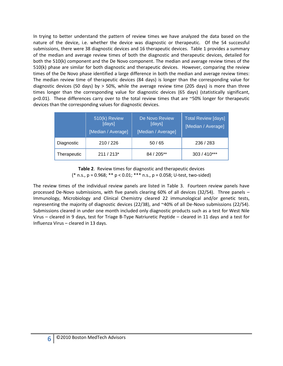In trying to better understand the pattern of review times we have analyzed the data based on the nature of the device, i.e. whether the device was diagnostic or therapeutic. Of the 54 successful submissions, there were 38 diagnostic devices and 16 therapeutic devices. Table 1 provides a summary of the median and average review times of both the diagnostic and therapeutic devices, detailed for both the 510(k) component and the De Novo component. The median and average review times of the 510(k) phase are similar for both diagnostic and therapeutic devices. However, comparing the review times of the De Novo phase identified a large difference in both the median and average review times: The median review time of therapeutic devices (84 days) is longer than the corresponding value for diagnostic devices (50 days) by > 50%, while the average review time (205 days) is more than three times longer than the corresponding value for diagnostic devices (65 days) (statistically significant,  $p<0.01$ ). These differences carry over to the total review times that are ~50% longer for therapeutic devices than the corresponding values for diagnostic devices.

|             | 510(k) Review<br>[days]<br>[Median / Average] | De Novo Review<br>[days]<br>[Median / Average] | <b>Total Review [days]</b><br>[Median / Average] |  |  |
|-------------|-----------------------------------------------|------------------------------------------------|--------------------------------------------------|--|--|
| Diagnostic  | 210/226                                       | 50/65                                          | 236 / 283                                        |  |  |
| Therapeutic | $211/213*$                                    | 84 / 205**                                     | $303/410***$                                     |  |  |

**Table 2**. Review times for diagnostic and therapeutic devices (\* n.s., p = 0.968; \*\* p < 0.01; \*\*\* n.s., p = 0.058; U-test, two-sided)

The review times of the individual review panels are listed in Table 3. Fourteen review panels have processed De-Novo submissions, with five panels clearing 60% of all devices (32/54). Three panels – Immunology, Microbiology and Clinical Chemistry cleared 22 immunological and/or genetic tests, representing the majority of diagnostic devices (22/38), and ~40% of all De-Novo submissions (22/54). Submissions cleared in under one month included only diagnostic products such as a test for West Nile Virus – cleared in 9 days, test for Triage B-Type Natriuretic Peptide – cleared in 11 days and a test for Influenza Virus – cleared in 13 days.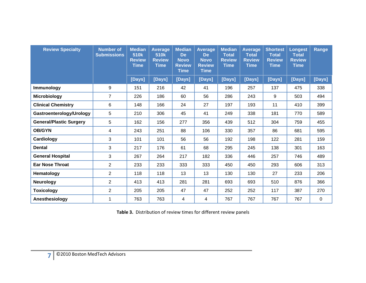| <b>Review Specialty</b>        | <b>Number of</b><br><b>Submissions</b> | <b>Median</b><br>510 <sub>k</sub><br><b>Review</b><br><b>Time</b> | <b>Average</b><br>510k<br><b>Review</b><br><b>Time</b> | <b>Median</b><br><b>De</b><br><b>Novo</b><br><b>Review</b><br><b>Time</b> | <b>Average</b><br><b>De</b><br><b>Novo</b><br><b>Review</b><br><b>Time</b> | <b>Median</b><br><b>Total</b><br><b>Review</b><br><b>Time</b> | <b>Average</b><br><b>Total</b><br><b>Review</b><br><b>Time</b> | <b>Shortest</b><br><b>Total</b><br><b>Review</b><br><b>Time</b> | <b>Longest</b><br><b>Total</b><br><b>Review</b><br><b>Time</b> | Range  |
|--------------------------------|----------------------------------------|-------------------------------------------------------------------|--------------------------------------------------------|---------------------------------------------------------------------------|----------------------------------------------------------------------------|---------------------------------------------------------------|----------------------------------------------------------------|-----------------------------------------------------------------|----------------------------------------------------------------|--------|
|                                |                                        | [Days]                                                            | [Days]                                                 | [Days]                                                                    | [Days]                                                                     | [Days]                                                        | [Days]                                                         | [Days]                                                          | [Days]                                                         | [Days] |
| <b>Immunology</b>              | 9                                      | 151                                                               | 216                                                    | 42                                                                        | 41                                                                         | 196                                                           | 257                                                            | 137                                                             | 475                                                            | 338    |
| <b>Microbiology</b>            | $\overline{7}$                         | 226                                                               | 186                                                    | 60                                                                        | 56                                                                         | 286                                                           | 243                                                            | 9                                                               | 503                                                            | 494    |
| <b>Clinical Chemistry</b>      | 6                                      | 148                                                               | 166                                                    | 24                                                                        | 27                                                                         | 197                                                           | 193                                                            | 11                                                              | 410                                                            | 399    |
| Gastroenterology/Urology       | 5                                      | 210                                                               | 306                                                    | 45                                                                        | 41                                                                         | 249                                                           | 338                                                            | 181                                                             | 770                                                            | 589    |
| <b>General/Plastic Surgery</b> | 5                                      | 162                                                               | 156                                                    | 277                                                                       | 356                                                                        | 439                                                           | 512                                                            | 304                                                             | 759                                                            | 455    |
| <b>OB/GYN</b>                  | 4                                      | 243                                                               | 251                                                    | 88                                                                        | 106                                                                        | 330                                                           | 357                                                            | 86                                                              | 681                                                            | 595    |
| Cardiology                     | 3                                      | 101                                                               | 101                                                    | 56                                                                        | 56                                                                         | 192                                                           | 198                                                            | 122                                                             | 281                                                            | 159    |
| <b>Dental</b>                  | 3                                      | 217                                                               | 176                                                    | 61                                                                        | 68                                                                         | 295                                                           | 245                                                            | 138                                                             | 301                                                            | 163    |
| <b>General Hospital</b>        | 3                                      | 267                                                               | 264                                                    | 217                                                                       | 182                                                                        | 336                                                           | 446                                                            | 257                                                             | 746                                                            | 489    |
| <b>Ear Nose Throat</b>         | 2                                      | 233                                                               | 233                                                    | 333                                                                       | 333                                                                        | 450                                                           | 450                                                            | 293                                                             | 606                                                            | 313    |
| Hematology                     | $\overline{2}$                         | 118                                                               | 118                                                    | 13                                                                        | 13                                                                         | 130                                                           | 130                                                            | 27                                                              | 233                                                            | 206    |
| <b>Neurology</b>               | 2                                      | 413                                                               | 413                                                    | 281                                                                       | 281                                                                        | 693                                                           | 693                                                            | 510                                                             | 876                                                            | 366    |
| <b>Toxicology</b>              | 2                                      | 205                                                               | 205                                                    | 47                                                                        | 47                                                                         | 252                                                           | 252                                                            | 117                                                             | 387                                                            | 270    |
| Anesthesiology                 |                                        | 763                                                               | 763                                                    | 4                                                                         | 4                                                                          | 767                                                           | 767                                                            | 767                                                             | 767                                                            | 0      |

**Table 3.** Distribution of review times for different review panels